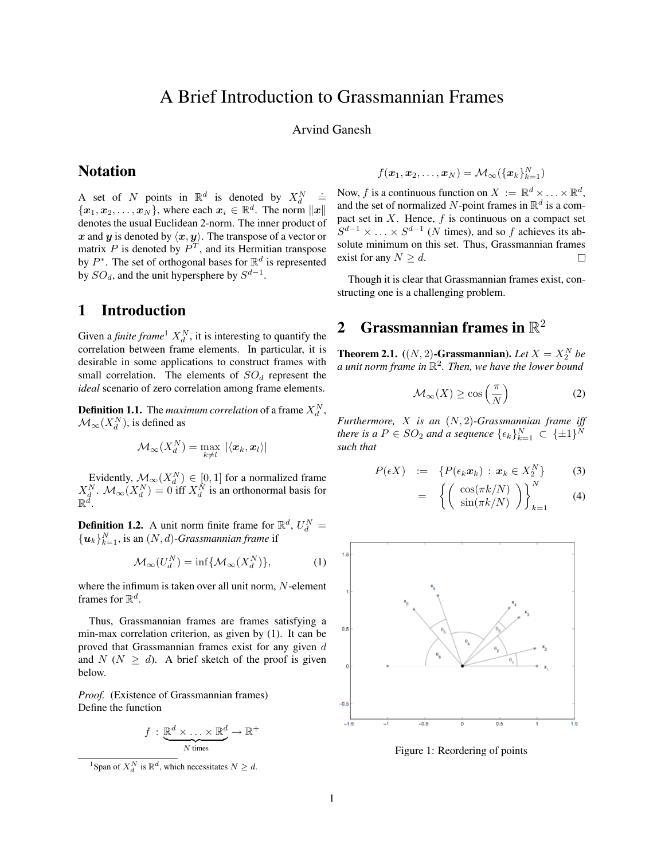## A Brief Introduction to Grassmannian Frames

Arvind Ganesh

### **Notation**

A set of N points in  $\mathbb{R}^d$  is denoted by  $X_d^N$  $\stackrel{.}{=}$  $\{\boldsymbol{x}_1, \boldsymbol{x}_2, \dots, \boldsymbol{x}_N\}$ , where each  $\boldsymbol{x}_i \in \mathbb{R}^d$ . The norm  $\|\boldsymbol{x}\|$ denotes the usual Euclidean 2-norm. The inner product of x and y is denoted by  $\langle x, y \rangle$ . The transpose of a vector or matrix  $P$  is denoted by  $P<sup>T</sup>$ , and its Hermitian transpose by  $P^*$ . The set of orthogonal bases for  $\mathbb{R}^d$  is represented by  $SO_d$ , and the unit hypersphere by  $S^{d-1}$ .

### 1 Introduction

Given a *finite frame*  $X_d^N$ , it is interesting to quantify the correlation between frame elements. In particular, it is desirable in some applications to construct frames with small correlation. The elements of  $SO_d$  represent the *ideal* scenario of zero correlation among frame elements.

**Definition 1.1.** The *maximum correlation* of a frame  $X_d^N$ ,  $\mathcal{M}_{\infty}(X_d^N)$ , is defined as

$$
\mathcal{M}_{\infty}(X_d^N) = \max_{k \neq l} \, |\langle \boldsymbol{x}_k, \boldsymbol{x}_l \rangle|
$$

Evidently,  $\mathcal{M}_{\infty}(X_d^N) \in [0,1]$  for a normalized frame  $X_d^N$ .  $\mathcal{M}_{\infty}(X_d^N) = 0$  iff  $X_d^N$  is an orthonormal basis for  $\mathbb{R}^d$ .

**Definition 1.2.** A unit norm finite frame for  $\mathbb{R}^d$ ,  $U_d^N$  =  $\{\boldsymbol{u}_k\}_{k=1}^N$ , is an  $(N, d)$ -*Grassmannian frame* if

$$
\mathcal{M}_{\infty}(U_d^N) = \inf \{ \mathcal{M}_{\infty}(X_d^N) \},\tag{1}
$$

where the infimum is taken over all unit norm, N-element frames for  $\mathbb{R}^d$ .

Thus, Grassmannian frames are frames satisfying a min-max correlation criterion, as given by (1). It can be proved that Grassmannian frames exist for any given  $d$ and  $N$  ( $N \ge d$ ). A brief sketch of the proof is given below.

*Proof.* (Existence of Grassmannian frames) Define the function

$$
f : \underbrace{\mathbb{R}^d \times \ldots \times \mathbb{R}^d}_{N \text{ times}} \to \mathbb{R}^+
$$

$$
f(\boldsymbol{x}_1, \boldsymbol{x}_2, \dots, \boldsymbol{x}_N) = \mathcal{M}_\infty(\{\boldsymbol{x}_k\}_{k=1}^N)
$$

Now, f is a continuous function on  $X := \mathbb{R}^d \times \ldots \times \mathbb{R}^d$ , and the set of normalized N-point frames in  $\mathbb{R}^d$  is a compact set in  $X$ . Hence,  $f$  is continuous on a compact set  $S^{d-1} \times \ldots \times S^{d-1}$  (N times), and so f achieves its absolute minimum on this set. Thus, Grassmannian frames exist for any  $N \geq d$ .  $\Box$ 

Though it is clear that Grassmannian frames exist, constructing one is a challenging problem.

# 2 Grassmannian frames in  $\mathbb{R}^2$

**Theorem 2.1.**  $((N, 2)$ -Grassmannian). Let  $X = X_2^N$  be *a unit norm frame in* R 2 *. Then, we have the lower bound*

$$
\mathcal{M}_{\infty}(X) \ge \cos\left(\frac{\pi}{N}\right) \tag{2}
$$

*Furthermore,* X *is an* (N, 2)*-Grassmannian frame iff there is a*  $P \in SO_2$  *and a sequence*  $\{\epsilon_k\}_{k=1}^N \subset {\{\pm 1\}}^N$ *such that*

$$
P(\epsilon X) \quad := \quad \{ P(\epsilon_k \boldsymbol{x}_k) \, : \, \boldsymbol{x}_k \in X_2^N \} \tag{3}
$$

$$
= \left\{ \left( \begin{array}{c} \cos(\pi k/N) \\ \sin(\pi k/N) \end{array} \right) \right\}_{k=1}^{N} \tag{4}
$$



Figure 1: Reordering of points

<sup>&</sup>lt;sup>1</sup>Span of  $X_d^N$  is  $\mathbb{R}^d$ , which necessitates  $N \geq d$ .